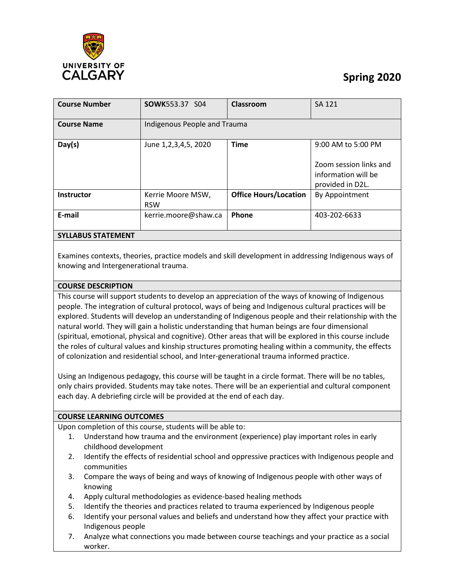

# **Spring 2020**

| <b>Course Number</b>      | <b>SOWK553.37 S04</b>           | Classroom                    | <b>SA 121</b>                                                                           |
|---------------------------|---------------------------------|------------------------------|-----------------------------------------------------------------------------------------|
| <b>Course Name</b>        | Indigenous People and Trauma    |                              |                                                                                         |
| Day(s)                    | June 1,2,3,4,5, 2020            | <b>Time</b>                  | 9:00 AM to 5:00 PM<br>Zoom session links and<br>information will be<br>provided in D2L. |
| <b>Instructor</b>         | Kerrie Moore MSW,<br><b>RSW</b> | <b>Office Hours/Location</b> | By Appointment                                                                          |
| E-mail                    | kerrie.moore@shaw.ca            | Phone                        | 403-202-6633                                                                            |
| <b>SYLLABUS STATEMENT</b> |                                 |                              |                                                                                         |

Examines contexts, theories, practice models and skill development in addressing Indigenous ways of knowing and Intergenerational trauma.

## **COURSE DESCRIPTION**

This course will support students to develop an appreciation of the ways of knowing of Indigenous people. The integration of cultural protocol, ways of being and Indigenous cultural practices will be explored. Students will develop an understanding of Indigenous people and their relationship with the natural world. They will gain a holistic understanding that human beings are four dimensional (spiritual, emotional, physical and cognitive). Other areas that will be explored in this course include the roles of cultural values and kinship structures promoting healing within a community, the effects of colonization and residential school, and Inter-generational trauma informed practice.

Using an Indigenous pedagogy, this course will be taught in a circle format. There will be no tables, only chairs provided. Students may take notes. There will be an experiential and cultural component each day. A debriefing circle will be provided at the end of each day.

#### **COURSE LEARNING OUTCOMES**

Upon completion of this course, students will be able to:

- 1. Understand how trauma and the environment (experience) play important roles in early childhood development
- 2. Identify the effects of residential school and oppressive practices with Indigenous people and communities
- 3. Compare the ways of being and ways of knowing of Indigenous people with other ways of knowing
- 4. Apply cultural methodologies as evidence-based healing methods
- 5. Identify the theories and practices related to trauma experienced by Indigenous people
- 6. Identify your personal values and beliefs and understand how they affect your practice with Indigenous people
- 7. Analyze what connections you made between course teachings and your practice as a social worker.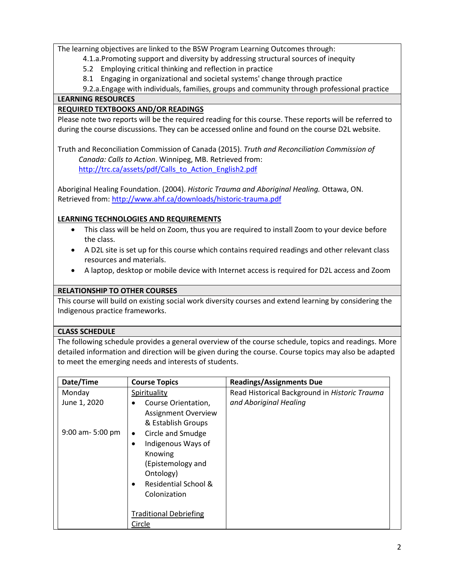The learning objectives are linked to the BSW Program Learning Outcomes through:

- 4.1.a.Promoting support and diversity by addressing structural sources of inequity
	- 5.2 Employing critical thinking and reflection in practice
- 8.1 Engaging in organizational and societal systems' change through practice

9.2.a.Engage with individuals, families, groups and community through professional practice

## **LEARNING RESOURCES**

# **REQUIRED TEXTBOOKS AND/OR READINGS**

Please note two reports will be the required reading for this course. These reports will be referred to during the course discussions. They can be accessed online and found on the course D2L website.

Truth and Reconciliation Commission of Canada (2015). *Truth and Reconciliation Commission of Canada: Calls to Action*. Winnipeg, MB. Retrieved from: [http://trc.ca/assets/pdf/Calls\\_to\\_Action\\_English2.pdf](http://trc.ca/assets/pdf/Calls_to_Action_English2.pdf)

Aboriginal Healing Foundation. (2004). *Historic Trauma and Aboriginal Healing.* Ottawa, ON. Retrieved from: <http://www.ahf.ca/downloads/historic-trauma.pdf>

# **LEARNING TECHNOLOGIES AND REQUIREMENTS**

- This class will be held on Zoom, thus you are required to install Zoom to your device before the class.
- A D2L site is set up for this course which contains required readings and other relevant class resources and materials.
- A laptop, desktop or mobile device with Internet access is required for D2L access and Zoom

## **RELATIONSHIP TO OTHER COURSES**

This course will build on existing social work diversity courses and extend learning by considering the Indigenous practice frameworks.

## **CLASS SCHEDULE**

The following schedule provides a general overview of the course schedule, topics and readings. More detailed information and direction will be given during the course. Course topics may also be adapted to meet the emerging needs and interests of students.

| Date/Time            | <b>Course Topics</b>                                                                                                                                              | <b>Readings/Assignments Due</b>               |
|----------------------|-------------------------------------------------------------------------------------------------------------------------------------------------------------------|-----------------------------------------------|
| Monday               | Spirituality                                                                                                                                                      | Read Historical Background in Historic Trauma |
| June 1, 2020         | Course Orientation,<br><b>Assignment Overview</b><br>& Establish Groups                                                                                           | and Aboriginal Healing                        |
| $9:00$ am- $5:00$ pm | Circle and Smudge<br>$\bullet$<br>Indigenous Ways of<br>$\bullet$<br>Knowing<br>(Epistemology and<br>Ontology)<br><b>Residential School &amp;</b><br>Colonization |                                               |
|                      | <b>Traditional Debriefing</b>                                                                                                                                     |                                               |
|                      | Circle                                                                                                                                                            |                                               |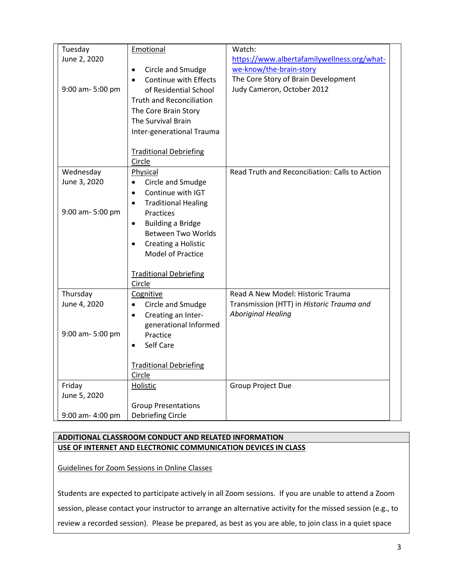| Tuesday                                       | Emotional                                                                                                                                                                                                                                                     | Watch:                                                                                                                                      |
|-----------------------------------------------|---------------------------------------------------------------------------------------------------------------------------------------------------------------------------------------------------------------------------------------------------------------|---------------------------------------------------------------------------------------------------------------------------------------------|
| June 2, 2020<br>9:00 am-5:00 pm               | Circle and Smudge<br>$\bullet$<br>Continue with Effects<br>$\bullet$<br>of Residential School<br><b>Truth and Reconciliation</b><br>The Core Brain Story<br>The Survival Brain<br>Inter-generational Trauma                                                   | https://www.albertafamilywellness.org/what-<br>we-know/the-brain-story<br>The Core Story of Brain Development<br>Judy Cameron, October 2012 |
|                                               | <b>Traditional Debriefing</b><br>Circle                                                                                                                                                                                                                       |                                                                                                                                             |
| Wednesday<br>June 3, 2020<br>9:00 am- 5:00 pm | Physical<br>Circle and Smudge<br>Continue with IGT<br>$\bullet$<br><b>Traditional Healing</b><br>$\bullet$<br>Practices<br><b>Building a Bridge</b><br>$\bullet$<br><b>Between Two Worlds</b><br>Creating a Holistic<br>$\bullet$<br><b>Model of Practice</b> | Read Truth and Reconciliation: Calls to Action                                                                                              |
|                                               | <b>Traditional Debriefing</b><br>Circle                                                                                                                                                                                                                       |                                                                                                                                             |
| Thursday<br>June 4, 2020<br>9:00 am-5:00 pm   | Cognitive<br>Circle and Smudge<br>Creating an Inter-<br>$\bullet$<br>generational Informed<br>Practice<br>Self Care<br>$\bullet$                                                                                                                              | Read A New Model: Historic Trauma<br>Transmission (HTT) in Historic Trauma and<br><b>Aboriginal Healing</b>                                 |
|                                               | <b>Traditional Debriefing</b><br>Circle                                                                                                                                                                                                                       |                                                                                                                                             |
| Friday<br>June 5, 2020                        | Holistic                                                                                                                                                                                                                                                      | Group Project Due                                                                                                                           |
| 9:00 am- 4:00 pm                              | <b>Group Presentations</b><br>Debriefing Circle                                                                                                                                                                                                               |                                                                                                                                             |

# **ADDITIONAL CLASSROOM CONDUCT AND RELATED INFORMATION USE OF INTERNET AND ELECTRONIC COMMUNICATION DEVICES IN CLASS**

Guidelines for Zoom Sessions in Online Classes

Students are expected to participate actively in all Zoom sessions. If you are unable to attend a Zoom session, please contact your instructor to arrange an alternative activity for the missed session (e.g., to review a recorded session). Please be prepared, as best as you are able, to join class in a quiet space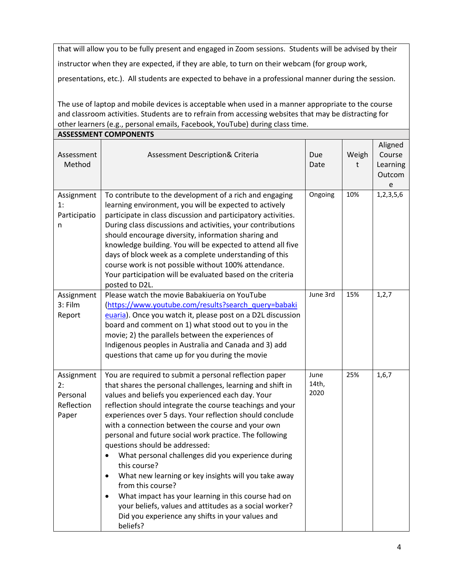that will allow you to be fully present and engaged in Zoom sessions. Students will be advised by their instructor when they are expected, if they are able, to turn on their webcam (for group work,

presentations, etc.). All students are expected to behave in a professional manner during the session.

The use of laptop and mobile devices is acceptable when used in a manner appropriate to the course and classroom activities. Students are to refrain from accessing websites that may be distracting for other learners (e.g., personal emails, Facebook, YouTube) during class time. **ASSESSMENT COMPONENTS**

|                                                     | ASSESSIVIEN I COIVIPONEN I S                                                                                                                                                                                                                                                                                                                                                                                                                                                                                                                                                                                                                                                                                                                                                                               |                       |            |                                              |
|-----------------------------------------------------|------------------------------------------------------------------------------------------------------------------------------------------------------------------------------------------------------------------------------------------------------------------------------------------------------------------------------------------------------------------------------------------------------------------------------------------------------------------------------------------------------------------------------------------------------------------------------------------------------------------------------------------------------------------------------------------------------------------------------------------------------------------------------------------------------------|-----------------------|------------|----------------------------------------------|
| Assessment<br>Method                                | Assessment Description& Criteria                                                                                                                                                                                                                                                                                                                                                                                                                                                                                                                                                                                                                                                                                                                                                                           | Due<br>Date           | Weigh<br>t | Aligned<br>Course<br>Learning<br>Outcom<br>e |
| Assignment<br>1:<br>Participatio<br>n               | To contribute to the development of a rich and engaging<br>learning environment, you will be expected to actively<br>participate in class discussion and participatory activities.<br>During class discussions and activities, your contributions<br>should encourage diversity, information sharing and<br>knowledge building. You will be expected to attend all five<br>days of block week as a complete understanding of this<br>course work is not possible without 100% attendance.<br>Your participation will be evaluated based on the criteria<br>posted to D2L.                                                                                                                                                                                                                                  | Ongoing               | 10%        | 1,2,3,5,6                                    |
| Assignment<br>3: Film<br>Report                     | Please watch the movie Babakiueria on YouTube<br>(https://www.youtube.com/results?search_query=babaki<br>euaria). Once you watch it, please post on a D2L discussion<br>board and comment on 1) what stood out to you in the<br>movie; 2) the parallels between the experiences of<br>Indigenous peoples in Australia and Canada and 3) add<br>questions that came up for you during the movie                                                                                                                                                                                                                                                                                                                                                                                                             | June 3rd              | 15%        | 1, 2, 7                                      |
| Assignment<br>2:<br>Personal<br>Reflection<br>Paper | You are required to submit a personal reflection paper<br>that shares the personal challenges, learning and shift in<br>values and beliefs you experienced each day. Your<br>reflection should integrate the course teachings and your<br>experiences over 5 days. Your reflection should conclude<br>with a connection between the course and your own<br>personal and future social work practice. The following<br>questions should be addressed:<br>What personal challenges did you experience during<br>this course?<br>What new learning or key insights will you take away<br>$\bullet$<br>from this course?<br>What impact has your learning in this course had on<br>٠<br>your beliefs, values and attitudes as a social worker?<br>Did you experience any shifts in your values and<br>beliefs? | June<br>14th,<br>2020 | 25%        | 1,6,7                                        |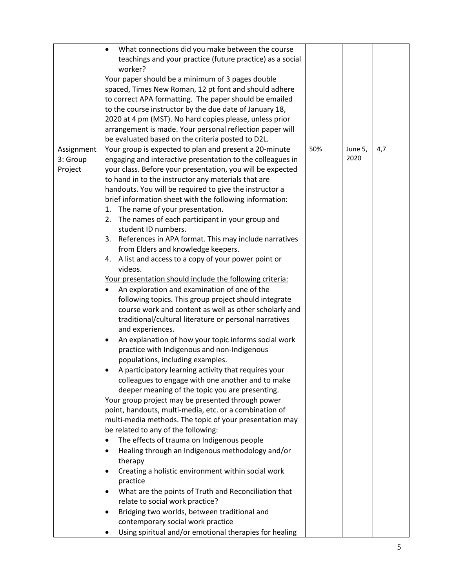|            | What connections did you make between the course                                                                    |     |         |     |
|------------|---------------------------------------------------------------------------------------------------------------------|-----|---------|-----|
|            | teachings and your practice (future practice) as a social                                                           |     |         |     |
|            | worker?                                                                                                             |     |         |     |
|            | Your paper should be a minimum of 3 pages double                                                                    |     |         |     |
|            | spaced, Times New Roman, 12 pt font and should adhere                                                               |     |         |     |
|            | to correct APA formatting. The paper should be emailed                                                              |     |         |     |
|            | to the course instructor by the due date of January 18,                                                             |     |         |     |
|            | 2020 at 4 pm (MST). No hard copies please, unless prior<br>arrangement is made. Your personal reflection paper will |     |         |     |
|            | be evaluated based on the criteria posted to D2L.                                                                   |     |         |     |
| Assignment | Your group is expected to plan and present a 20-minute                                                              | 50% | June 5, | 4,7 |
| 3: Group   | engaging and interactive presentation to the colleagues in                                                          |     | 2020    |     |
| Project    | your class. Before your presentation, you will be expected                                                          |     |         |     |
|            | to hand in to the instructor any materials that are                                                                 |     |         |     |
|            | handouts. You will be required to give the instructor a                                                             |     |         |     |
|            | brief information sheet with the following information:                                                             |     |         |     |
|            | 1. The name of your presentation.                                                                                   |     |         |     |
|            | The names of each participant in your group and<br>2.                                                               |     |         |     |
|            | student ID numbers.                                                                                                 |     |         |     |
|            | 3. References in APA format. This may include narratives                                                            |     |         |     |
|            | from Elders and knowledge keepers.                                                                                  |     |         |     |
|            | 4. A list and access to a copy of your power point or                                                               |     |         |     |
|            | videos.                                                                                                             |     |         |     |
|            | Your presentation should include the following criteria:                                                            |     |         |     |
|            | An exploration and examination of one of the<br>٠                                                                   |     |         |     |
|            | following topics. This group project should integrate                                                               |     |         |     |
|            | course work and content as well as other scholarly and                                                              |     |         |     |
|            | traditional/cultural literature or personal narratives                                                              |     |         |     |
|            | and experiences.                                                                                                    |     |         |     |
|            | An explanation of how your topic informs social work<br>٠                                                           |     |         |     |
|            | practice with Indigenous and non-Indigenous                                                                         |     |         |     |
|            | populations, including examples.                                                                                    |     |         |     |
|            | A participatory learning activity that requires your                                                                |     |         |     |
|            | colleagues to engage with one another and to make                                                                   |     |         |     |
|            | deeper meaning of the topic you are presenting.                                                                     |     |         |     |
|            | Your group project may be presented through power                                                                   |     |         |     |
|            | point, handouts, multi-media, etc. or a combination of                                                              |     |         |     |
|            | multi-media methods. The topic of your presentation may                                                             |     |         |     |
|            | be related to any of the following:                                                                                 |     |         |     |
|            | The effects of trauma on Indigenous people<br>٠                                                                     |     |         |     |
|            | Healing through an Indigenous methodology and/or<br>$\bullet$                                                       |     |         |     |
|            | therapy                                                                                                             |     |         |     |
|            | Creating a holistic environment within social work<br>٠                                                             |     |         |     |
|            | practice                                                                                                            |     |         |     |
|            | What are the points of Truth and Reconciliation that<br>٠                                                           |     |         |     |
|            | relate to social work practice?                                                                                     |     |         |     |
|            | Bridging two worlds, between traditional and<br>٠                                                                   |     |         |     |
|            | contemporary social work practice                                                                                   |     |         |     |
|            | Using spiritual and/or emotional therapies for healing                                                              |     |         |     |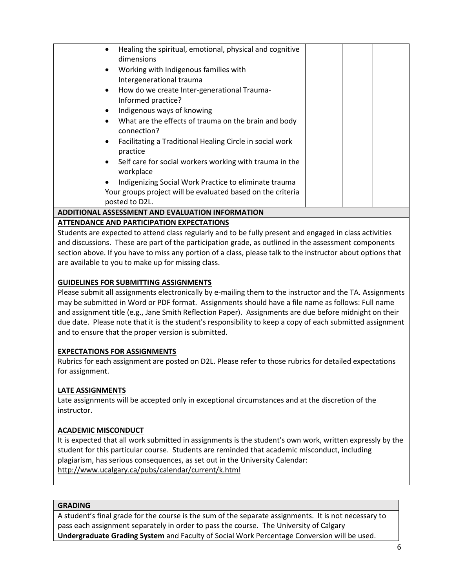| Healing the spiritual, emotional, physical and cognitive<br>dimensions |  |
|------------------------------------------------------------------------|--|
| Working with Indigenous families with                                  |  |
| Intergenerational trauma                                               |  |
| How do we create Inter-generational Trauma-                            |  |
| Informed practice?                                                     |  |
| Indigenous ways of knowing                                             |  |
| What are the effects of trauma on the brain and body                   |  |
| connection?                                                            |  |
| Facilitating a Traditional Healing Circle in social work<br>practice   |  |
| Self care for social workers working with trauma in the<br>workplace   |  |
| Indigenizing Social Work Practice to eliminate trauma                  |  |
| Your groups project will be evaluated based on the criteria            |  |
| posted to D2L.                                                         |  |
| <b>ADDITIONAL ASSESSMENT AND EVALUATION INFORMATION</b>                |  |

# **ATTENDANCE AND PARTICIPATION EXPECTATIONS**

Students are expected to attend class regularly and to be fully present and engaged in class activities and discussions. These are part of the participation grade, as outlined in the assessment components section above. If you have to miss any portion of a class, please talk to the instructor about options that are available to you to make up for missing class.

## **GUIDELINES FOR SUBMITTING ASSIGNMENTS**

Please submit all assignments electronically by e-mailing them to the instructor and the TA. Assignments may be submitted in Word or PDF format. Assignments should have a file name as follows: Full name and assignment title (e.g., Jane Smith Reflection Paper). Assignments are due before midnight on their due date. Please note that it is the student's responsibility to keep a copy of each submitted assignment and to ensure that the proper version is submitted.

## **EXPECTATIONS FOR ASSIGNMENTS**

Rubrics for each assignment are posted on D2L. Please refer to those rubrics for detailed expectations for assignment.

#### **LATE ASSIGNMENTS**

Late assignments will be accepted only in exceptional circumstances and at the discretion of the instructor.

#### **ACADEMIC MISCONDUCT**

It is expected that all work submitted in assignments is the student's own work, written expressly by the student for this particular course. Students are reminded that academic misconduct, including plagiarism, has serious consequences, as set out in the University Calendar: <http://www.ucalgary.ca/pubs/calendar/current/k.html>

#### **GRADING**

A student's final grade for the course is the sum of the separate assignments. It is not necessary to pass each assignment separately in order to pass the course. The University of Calgary **Undergraduate Grading System** and Faculty of Social Work Percentage Conversion will be used.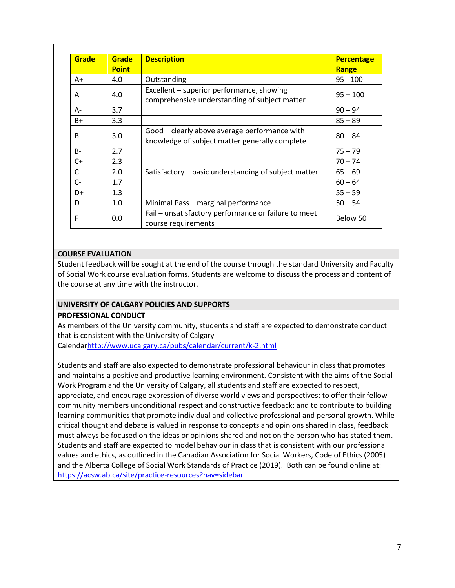| Grade     | <b>Grade</b> | <b>Description</b>                                                                              | <b>Percentage</b> |
|-----------|--------------|-------------------------------------------------------------------------------------------------|-------------------|
|           | <b>Point</b> |                                                                                                 | Range             |
| $A+$      | 4.0          | Outstanding                                                                                     | $95 - 100$        |
| A         | 4.0          | Excellent – superior performance, showing<br>comprehensive understanding of subject matter      | $95 - 100$        |
| $A -$     | 3.7          |                                                                                                 | $90 - 94$         |
| B+        | 3.3          |                                                                                                 | $85 - 89$         |
| B         | 3.0          | Good - clearly above average performance with<br>knowledge of subject matter generally complete | $80 - 84$         |
| <b>B-</b> | 2.7          |                                                                                                 | $75 - 79$         |
| $C+$      | 2.3          |                                                                                                 | $70 - 74$         |
| C         | 2.0          | Satisfactory – basic understanding of subject matter                                            | $65 - 69$         |
| $C-$      | 1.7          |                                                                                                 | $60 - 64$         |
| D+        | 1.3          |                                                                                                 | $55 - 59$         |
| D         | 1.0          | Minimal Pass - marginal performance                                                             | $50 - 54$         |
| F         | 0.0          | Fail - unsatisfactory performance or failure to meet<br>course requirements                     | Below 50          |

## **COURSE EVALUATION**

Student feedback will be sought at the end of the course through the standard University and Faculty of Social Work course evaluation forms. Students are welcome to discuss the process and content of the course at any time with the instructor.

## **UNIVERSITY OF CALGARY POLICIES AND SUPPORTS**

#### **PROFESSIONAL CONDUCT**

As members of the University community, students and staff are expected to demonstrate conduct that is consistent with the University of Calgary

Calenda[rhttp://www.ucalgary.ca/pubs/calendar/current/k-2.html](http://www.ucalgary.ca/pubs/calendar/current/k-2.html)

Students and staff are also expected to demonstrate professional behaviour in class that promotes and maintains a positive and productive learning environment. Consistent with the aims of the Social Work Program and the University of Calgary, all students and staff are expected to respect, appreciate, and encourage expression of diverse world views and perspectives; to offer their fellow community members unconditional respect and constructive feedback; and to contribute to building learning communities that promote individual and collective professional and personal growth. While critical thought and debate is valued in response to concepts and opinions shared in class, feedback must always be focused on the ideas or opinions shared and not on the person who has stated them. Students and staff are expected to model behaviour in class that is consistent with our professional values and ethics, as outlined in the Canadian Association for Social Workers, Code of Ethics (2005) and the Alberta College of Social Work Standards of Practice (2019). Both can be found online at: <https://acsw.ab.ca/site/practice-resources?nav=sidebar>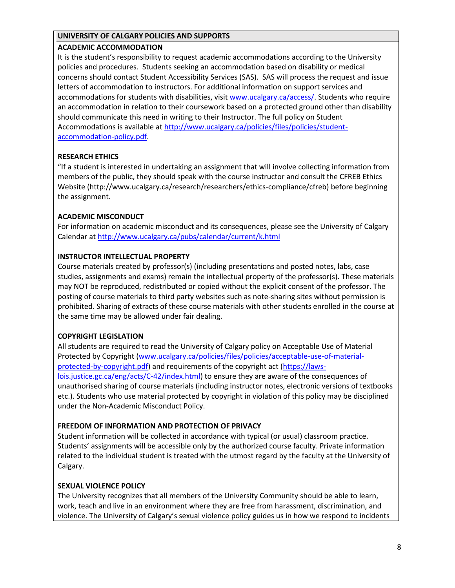#### **UNIVERSITY OF CALGARY POLICIES AND SUPPORTS**

## **ACADEMIC ACCOMMODATION**

It is the student's responsibility to request academic accommodations according to the University policies and procedures. Students seeking an accommodation based on disability or medical concerns should contact Student Accessibility Services (SAS). SAS will process the request and issue letters of accommodation to instructors. For additional information on support services and accommodations for students with disabilities, visit [www.ucalgary.ca/access/.](http://www.ucalgary.ca/access/) Students who require an accommodation in relation to their coursework based on a protected ground other than disability should communicate this need in writing to their Instructor. The full policy on Student Accommodations is available at [http://www.ucalgary.ca/policies/files/policies/student](http://www.ucalgary.ca/policies/files/policies/student-accommodation-policy.pdf)[accommodation-policy.pdf.](http://www.ucalgary.ca/policies/files/policies/student-accommodation-policy.pdf)

# **RESEARCH ETHICS**

"If a student is interested in undertaking an assignment that will involve collecting information from members of the public, they should speak with the course instructor and consult the CFREB Ethics Website [\(http://www.ucalgary.ca/research/researchers/ethics-compliance/cfreb\)](http://www.ucalgary.ca/research/researchers/ethics-compliance/cfreb) before beginning the assignment.

## **ACADEMIC MISCONDUCT**

For information on academic misconduct and its consequences, please see the University of Calgary Calendar a[t http://www.ucalgary.ca/pubs/calendar/current/k.html](http://www.ucalgary.ca/pubs/calendar/current/k.html)

## **INSTRUCTOR INTELLECTUAL PROPERTY**

Course materials created by professor(s) (including presentations and posted notes, labs, case studies, assignments and exams) remain the intellectual property of the professor(s). These materials may NOT be reproduced, redistributed or copied without the explicit consent of the professor. The posting of course materials to third party websites such as note-sharing sites without permission is prohibited. Sharing of extracts of these course materials with other students enrolled in the course at the same time may be allowed under fair dealing.

## **COPYRIGHT LEGISLATION**

All students are required to read the University of Calgary policy on Acceptable Use of Material Protected by Copyright [\(www.ucalgary.ca/policies/files/policies/acceptable-use-of-material](http://www.ucalgary.ca/policies/files/policies/acceptable-use-of-material-protected-by-copyright.pdf)[protected-by-copyright.pdf\)](http://www.ucalgary.ca/policies/files/policies/acceptable-use-of-material-protected-by-copyright.pdf) and requirements of the copyright act [\(https://laws](https://laws-lois.justice.gc.ca/eng/acts/C-42/index.html)[lois.justice.gc.ca/eng/acts/C-42/index.html\)](https://laws-lois.justice.gc.ca/eng/acts/C-42/index.html) to ensure they are aware of the consequences of unauthorised sharing of course materials (including instructor notes, electronic versions of textbooks etc.). Students who use material protected by copyright in violation of this policy may be disciplined under the Non-Academic Misconduct Policy.

## **FREEDOM OF INFORMATION AND PROTECTION OF PRIVACY**

Student information will be collected in accordance with typical (or usual) classroom practice. Students' assignments will be accessible only by the authorized course faculty. Private information related to the individual student is treated with the utmost regard by the faculty at the University of Calgary.

## **SEXUAL VIOLENCE POLICY**

The University recognizes that all members of the University Community should be able to learn, work, teach and live in an environment where they are free from harassment, discrimination, and violence. The University of Calgary's sexual violence policy guides us in how we respond to incidents